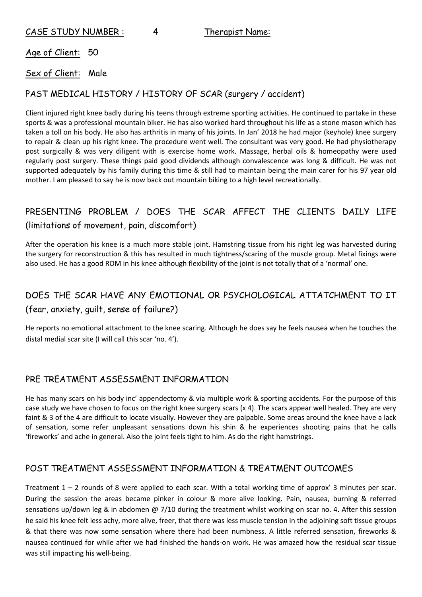Age of Client: 50

#### Sex of Client: Male

### PAST MEDICAL HISTORY / HISTORY OF SCAR (surgery / accident)

Client injured right knee badly during his teens through extreme sporting activities. He continued to partake in these sports & was a professional mountain biker. He has also worked hard throughout his life as a stone mason which has taken a toll on his body. He also has arthritis in many of his joints. In Jan' 2018 he had major (keyhole) knee surgery to repair & clean up his right knee. The procedure went well. The consultant was very good. He had physiotherapy post surgically & was very diligent with is exercise home work. Massage, herbal oils & homeopathy were used regularly post surgery. These things paid good dividends although convalescence was long & difficult. He was not supported adequately by his family during this time & still had to maintain being the main carer for his 97 year old mother. I am pleased to say he is now back out mountain biking to a high level recreationally.

# PRESENTING PROBLEM / DOES THE SCAR AFFECT THE CLIENTS DAILY LIFE (limitations of movement, pain, discomfort)

After the operation his knee is a much more stable joint. Hamstring tissue from his right leg was harvested during the surgery for reconstruction & this has resulted in much tightness/scaring of the muscle group. Metal fixings were also used. He has a good ROM in his knee although flexibility of the joint is not totally that of a 'normal' one.

## DOES THE SCAR HAVE ANY EMOTIONAL OR PSYCHOLOGICAL ATTATCHMENT TO IT (fear, anxiety, guilt, sense of failure?)

He reports no emotional attachment to the knee scaring. Although he does say he feels nausea when he touches the distal medial scar site (I will call this scar 'no. 4').

#### PRE TREATMENT ASSESSMENT INFORMATION

He has many scars on his body inc' appendectomy & via multiple work & sporting accidents. For the purpose of this case study we have chosen to focus on the right knee surgery scars (x 4). The scars appear well healed. They are very faint & 3 of the 4 are difficult to locate visually. However they are palpable. Some areas around the knee have a lack of sensation, some refer unpleasant sensations down his shin & he experiences shooting pains that he calls 'fireworks' and ache in general. Also the joint feels tight to him. As do the right hamstrings.

## POST TREATMENT ASSESSMENT INFORMATION & TREATMENT OUTCOMES

Treatment  $1 - 2$  rounds of 8 were applied to each scar. With a total working time of approx' 3 minutes per scar. During the session the areas became pinker in colour & more alive looking. Pain, nausea, burning & referred sensations up/down leg & in abdomen  $\omega$  7/10 during the treatment whilst working on scar no. 4. After this session he said his knee felt less achy, more alive, freer, that there was less muscle tension in the adjoining soft tissue groups & that there was now some sensation where there had been numbness. A little referred sensation, fireworks & nausea continued for while after we had finished the hands-on work. He was amazed how the residual scar tissue was still impacting his well-being.